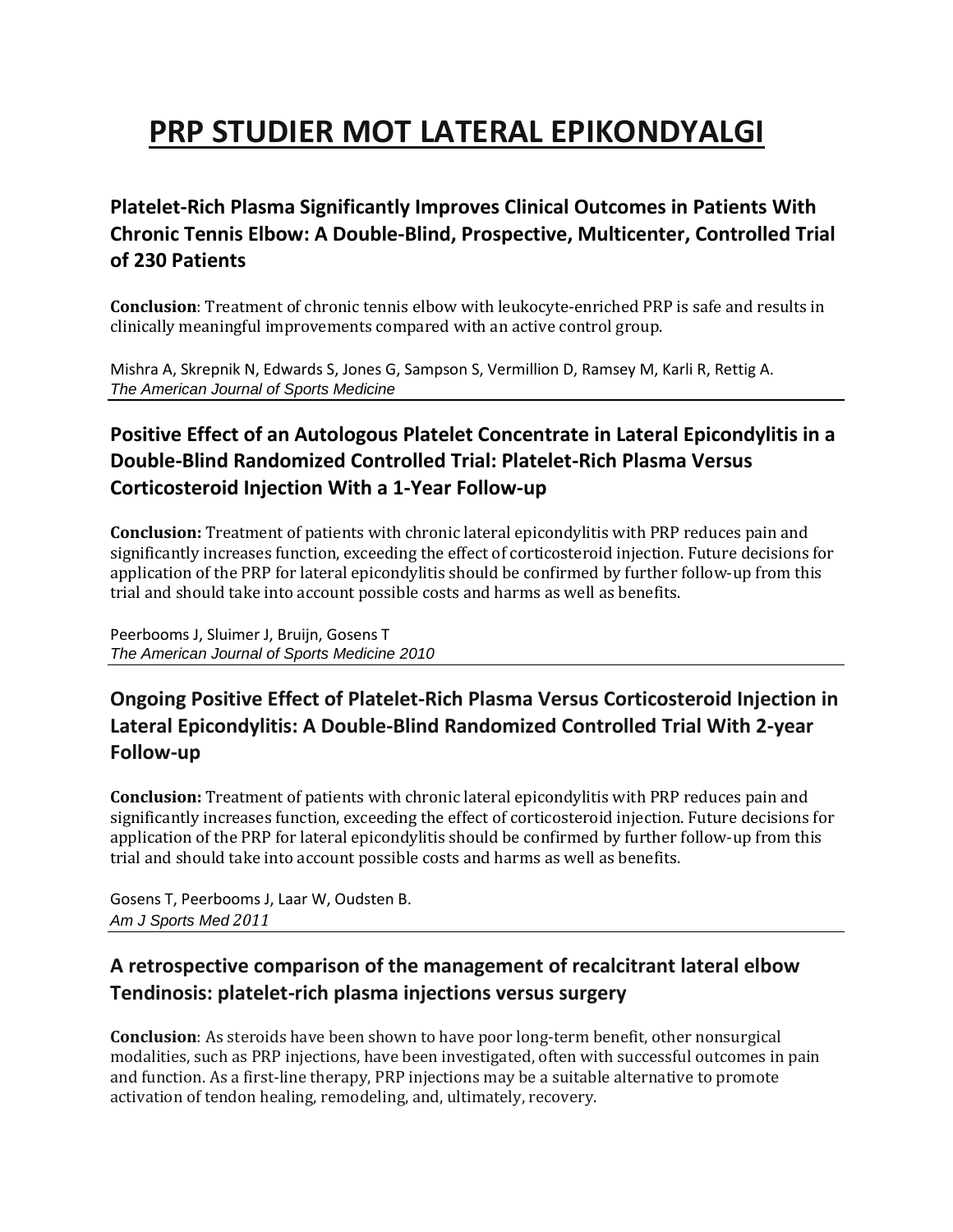# **PRP STUDIER MOT LATERAL EPIKONDYALGI**

## **Platelet-Rich Plasma Significantly Improves Clinical Outcomes in Patients With Chronic Tennis Elbow: A Double-Blind, Prospective, Multicenter, Controlled Trial of 230 Patients**

**Conclusion**: Treatment of chronic tennis elbow with leukocyte-enriched PRP is safe and results in clinically meaningful improvements compared with an active control group.

Mishra A, Skrepnik N, Edwards S, Jones G, Sampson S, Vermillion D, Ramsey M, Karli R, Rettig A. *The American Journal of Sports Medicine*

## **Positive Effect of an Autologous Platelet Concentrate in Lateral Epicondylitis in a Double-Blind Randomized Controlled Trial: Platelet-Rich Plasma Versus Corticosteroid Injection With a 1-Year Follow-up**

**Conclusion:** Treatment of patients with chronic lateral epicondylitis with PRP reduces pain and significantly increases function, exceeding the effect of corticosteroid injection. Future decisions for application of the PRP for lateral epicondylitis should be confirmed by further follow-up from this trial and should take into account possible costs and harms as well as benefits.

Peerbooms J, Sluimer J, Bruijn, Gosens T *The American Journal of Sports Medicine 2010*

## **Ongoing Positive Effect of Platelet-Rich Plasma Versus Corticosteroid Injection in Lateral Epicondylitis: A Double-Blind Randomized Controlled Trial With 2-year Follow-up**

**Conclusion:** Treatment of patients with chronic lateral epicondylitis with PRP reduces pain and significantly increases function, exceeding the effect of corticosteroid injection. Future decisions for application of the PRP for lateral epicondylitis should be confirmed by further follow-up from this trial and should take into account possible costs and harms as well as benefits.

Gosens T, Peerbooms J, Laar W, Oudsten B. *Am J Sports Med 2011*

## **A retrospective comparison of the management of recalcitrant lateral elbow Tendinosis: platelet-rich plasma injections versus surgery**

**Conclusion**: As steroids have been shown to have poor long-term benefit, other nonsurgical modalities, such as PRP injections, have been investigated, often with successful outcomes in pain and function. As a first-line therapy, PRP injections may be a suitable alternative to promote activation of tendon healing, remodeling, and, ultimately, recovery.